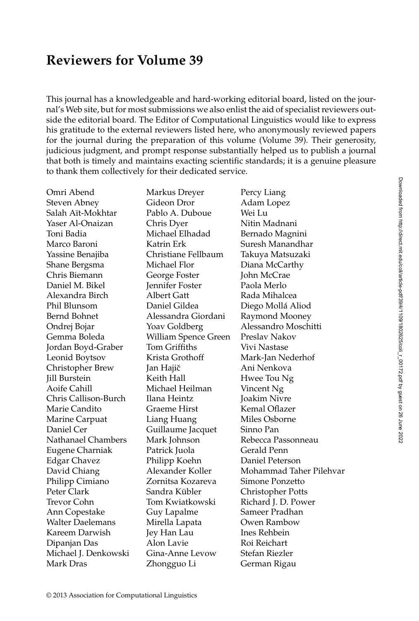## **Reviewers for Volume 39**

This journal has a knowledgeable and hard-working editorial board, listed on the journal's Web site, but for most submissions we also enlist the aid of specialist reviewers outside the editorial board. The Editor of Computational Linguistics would like to express his gratitude to the external reviewers listed here, who anonymously reviewed papers for the journal during the preparation of this volume (Volume 39). Their generosity, judicious judgment, and prompt response substantially helped us to publish a journal that both is timely and maintains exacting scientific standards; it is a genuine pleasure to thank them collectively for their dedicated service.

Omri Abend Markus Dreyer Percy Liang Steven Abney **Gideon Dror** Adam Lopez Salah Aït-Mokhtar Pablo A. Duboue Wei Lu Yaser Al-Onaizan Chris Dyer Nitin Madnani Toni Badia Michael Elhadad Bernado Magnini Marco Baroni Katrin Erk Suresh Manandhar Yassine Benajiba Christiane Fellbaum Takuya Matsuzaki Shane Bergsma Michael Flor Diana McCarthy Chris Biemann George Foster John McCrae Daniel M. Bikel **Jennifer Foster** Paola Merlo Alexandra Birch Albert Gatt Rada Mihalcea Phil Blunsom Daniel Gildea Diego Molla Aliod ´ Bernd Bohnet **Alessandra Giordani** Raymond Mooney Ondrej Bojar Yoav Goldberg Alessandro Moschitti Gemma Boleda William Spence Green Preslav Nakov Jordan Boyd-Graber Tom Griffiths Vivi Nastase Leonid Boytsov Krista Grothoff Mark-Jan Nederhof Christopher Brew Jan Hajic Ani Nenkova ˇ Jill Burstein Keith Hall Hwee Tou Ng Aoife Cahill Michael Heilman Vincent Ng Chris Callison-Burch Ilana Heintz Joakim Nivre Marie Candito **Graeme Hirst** Kemal Oflazer Marine Carpuat Liang Huang Miles Osborne Daniel Cer Guillaume Jacquet Sinno Pan Nathanael Chambers Mark Johnson Rebecca Passonneau Eugene Charniak Patrick Juola Gerald Penn Edgar Chavez Philipp Koehn Daniel Peterson Philipp Cimiano Zornitsa Kozareva Simone Ponzetto Peter Clark Sandra Kübler Christopher Potts Trevor Cohn Tom Kwiatkowski Richard J. D. Power Ann Copestake Guy Lapalme Sameer Pradhan Walter Daelemans Mirella Lapata Owen Rambow Kareem Darwish Jey Han Lau Ines Rehbein Dipanjan Das Alon Lavie Roi Reichart Michael J. Denkowski Gina-Anne Levow Stefan Riezler Mark Dras Zhongguo Li German Rigau

David Chiang **Alexander Koller** Mohammad Taher Pilehvar